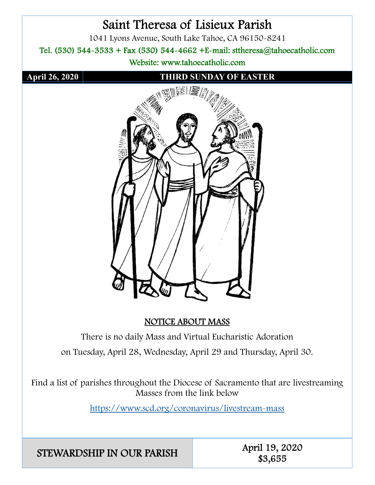

## NOTICE ABOUT MASS

There is no daily Mass and Virtual Eucharistic Adoration on Tuesday, April 28, Wednesday, April 29 and Thursday, April 30.

Find a list of parishes throughout the Diocese of Sacramento that are livestreaming Masses from the link below

https://www.scd.org/coronavirus/livestream-mass

STEWARDSHIP IN OUR PARISH April 19, 2020

\$3,655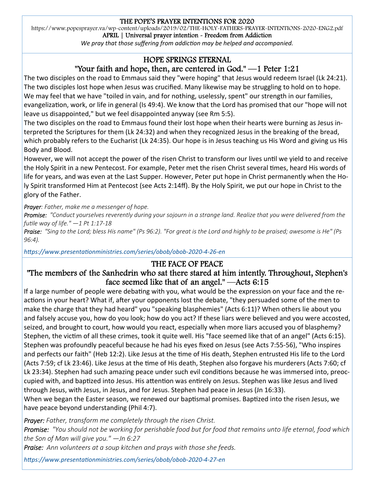### THE POPE'S PRAYER INTENTIONS FOR 2020

https://www.popesprayer.va/wp-content/uploads/2019/02/THE-HOLY-FATHERS-PRAYER-INTENTIONS-2020-ENG2.pdf

APRIL | Universal prayer intention - Freedom from Addiction

*We pray that those suffering from addiction may be helped and accompanied.* 

## HOPE SPRINGS ETERNAL

## "Your faith and hope, then, are centered in God." —1 Peter 1:21

The two disciples on the road to Emmaus said they "were hoping" that Jesus would redeem Israel (Lk 24:21). The two disciples lost hope when Jesus was crucified. Many likewise may be struggling to hold on to hope. We may feel that we have "toiled in vain, and for nothing, uselessly, spent" our strength in our families, evangelization, work, or life in general (Is 49:4). We know that the Lord has promised that our "hope will not leave us disappointed," but we feel disappointed anyway (see Rm 5:5).

The two disciples on the road to Emmaus found their lost hope when their hearts were burning as Jesus interpreted the Scriptures for them (Lk 24:32) and when they recognized Jesus in the breaking of the bread, which probably refers to the Eucharist (Lk 24:35). Our hope is in Jesus teaching us His Word and giving us His Body and Blood.

However, we will not accept the power of the risen Christ to transform our lives until we yield to and receive the Holy Spirit in a new Pentecost. For example, Peter met the risen Christ several times, heard His words of life for years, and was even at the Last Supper. However, Peter put hope in Christ permanently when the Holy Spirit transformed Him at Pentecost (see Acts 2:14ff). By the Holy Spirit, we put our hope in Christ to the glory of the Father.

*Prayer: Father, make me a messenger of hope.* 

*Promise: "Conduct yourselves reverently during your sojourn in a strange land. Realize that you were delivered from the fuƟle way of life." —1 Pt 1:17‐18* 

*Praise: "Sing to the Lord; bless His name" (Ps 96:2). "For great is the Lord and highly to be praised; awesome is He" (Ps 96:4).* 

*hƩps://www.presentaƟonministries.com/series/obob/obob‐2020‐4‐26‐en* 

## THE FACE OF PEACE

## "The members of the Sanhedrin who sat there stared at him intently. Throughout, Stephen's face seemed like that of an angel." —Acts 6:15

If a large number of people were debating with you, what would be the expression on your face and the reactions in your heart? What if, after your opponents lost the debate, "they persuaded some of the men to make the charge that they had heard" you "speaking blasphemies" (Acts 6:11)? When others lie about you and falsely accuse you, how do you look; how do you act? If these liars were believed and you were accosted, seized, and brought to court, how would you react, especially when more liars accused you of blasphemy? Stephen, the victim of all these crimes, took it quite well. His "face seemed like that of an angel" (Acts 6:15). Stephen was profoundly peaceful because he had his eyes fixed on Jesus (see Acts 7:55-56), "Who inspires and perfects our faith" (Heb 12:2). Like Jesus at the time of His death, Stephen entrusted His life to the Lord (Acts 7:59; cf Lk 23:46). Like Jesus at the time of His death, Stephen also forgave his murderers (Acts 7:60; cf Lk 23:34). Stephen had such amazing peace under such evil conditions because he was immersed into, preoccupied with, and baptized into Jesus. His attention was entirely on Jesus. Stephen was like Jesus and lived through Jesus, with Jesus, in Jesus, and for Jesus. Stephen had peace in Jesus (Jn 16:33).

When we began the Easter season, we renewed our baptismal promises. Baptized into the risen Jesus, we have peace beyond understanding (Phil 4:7).

*Prayer: Father, transform me completely through the risen Christ. Promise: "You should not be working for perishable food but for food that remains unto life eternal, food which the Son of Man will give you." —Jn 6:27 Praise: Ann volunteers at a soup kitchen and prays with those she feeds.* 

*hƩps://www.presentaƟonministries.com/series/obob/obob‐2020‐4‐27‐en*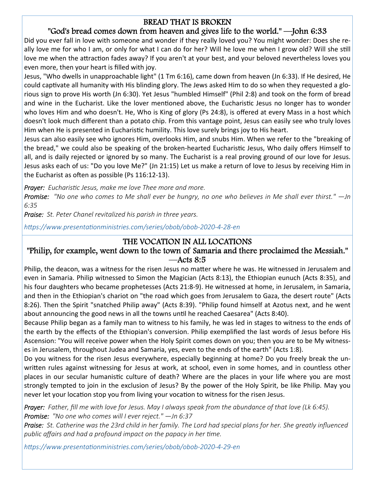## BREAD THAT IS BROKEN

## "God's bread comes down from heaven and gives life to the world." —John 6:33

Did you ever fall in love with someone and wonder if they really loved you? You might wonder: Does she really love me for who I am, or only for what I can do for her? Will he love me when I grow old? Will she still love me when the attraction fades away? If you aren't at your best, and your beloved nevertheless loves you even more, then your heart is filled with joy.

Jesus, "Who dwells in unapproachable light" (1 Tm 6:16), came down from heaven (Jn 6:33). If He desired, He could captivate all humanity with His blinding glory. The Jews asked Him to do so when they requested a glorious sign to prove His worth (Jn 6:30). Yet Jesus "humbled Himself" (Phil 2:8) and took on the form of bread and wine in the Eucharist. Like the lover mentioned above, the Eucharistic Jesus no longer has to wonder who loves Him and who doesn't. He, Who is King of glory (Ps 24:8), is offered at every Mass in a host which doesn't look much different than a potato chip. From this vantage point, Jesus can easily see who truly loves Him when He is presented in Eucharistic humility. This love surely brings joy to His heart.

Jesus can also easily see who ignores Him, overlooks Him, and snubs Him. When we refer to the "breaking of the bread," we could also be speaking of the broken-hearted Eucharistic Jesus, Who daily offers Himself to all, and is daily rejected or ignored by so many. The Eucharist is a real proving ground of our love for Jesus. Jesus asks each of us: "Do you love Me?" (Jn 21:15) Let us make a return of love to Jesus by receiving Him in the Eucharist as often as possible (Ps  $116:12-13$ ).

*Prayer: Eucharistic Jesus, make me love Thee more and more.* 

*Promise: "No one who comes to Me shall ever be hungry, no one who believes in Me shall ever thirst." —Jn 6:35* 

*Praise: St. Peter Chanel revitalized his parish in three years.* 

*hƩps://www.presentaƟonministries.com/series/obob/obob‐2020‐4‐28‐en* 

## THE VOCATION IN ALL LOCATIONS

## "Philip, for example, went down to the town of Samaria and there proclaimed the Messiah."  $—$ Acts 8:5

Philip, the deacon, was a witness for the risen Jesus no matter where he was. He witnessed in Jerusalem and even in Samaria. Philip witnessed to Simon the Magician (Acts 8:13), the Ethiopian eunuch (Acts 8:35), and his four daughters who became prophetesses (Acts 21:8-9). He witnessed at home, in Jerusalem, in Samaria, and then in the Ethiopian's chariot on "the road which goes from Jerusalem to Gaza, the desert route" (Acts 8:26). Then the Spirit "snatched Philip away" (Acts 8:39). "Philip found himself at Azotus next, and he went about announcing the good news in all the towns until he reached Caesarea" (Acts 8:40).

Because Philip began as a family man to witness to his family, he was led in stages to witness to the ends of the earth by the effects of the Ethiopian's conversion. Philip exemplified the last words of Jesus before His Ascension: "You will receive power when the Holy Spirit comes down on you; then you are to be My witnesses in Jerusalem, throughout Judea and Samaria, yes, even to the ends of the earth" (Acts 1:8).

Do you witness for the risen Jesus everywhere, especially beginning at home? Do you freely break the unwritten rules against witnessing for Jesus at work, at school, even in some homes, and in countless other places in our secular humanistic culture of death? Where are the places in your life where you are most strongly tempted to join in the exclusion of Jesus? By the power of the Holy Spirit, be like Philip. May you never let your location stop you from living your vocation to witness for the risen Jesus.

*Prayer: Father, fill me with love for Jesus. May I always speak from the abundance of that love (Lk 6:45). Promise: "No one who comes will I ever reject." —Jn 6:37* 

*Praise: St. Catherine was the 23rd child in her family. The Lord had special plans for her. She greatly influenced public affairs and had a profound impact on the papacy in her time.* 

*hƩps://www.presentaƟonministries.com/series/obob/obob‐2020‐4‐29‐en*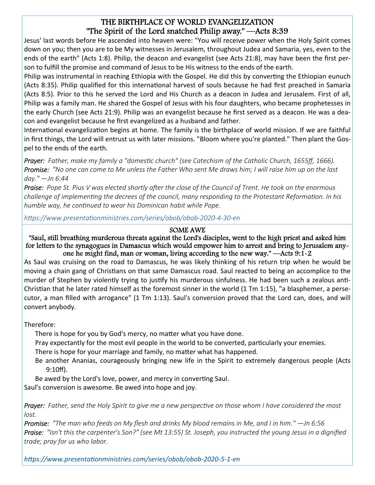## THE BIRTHPLACE OF WORLD EVANGELIZATION "The Spirit of the Lord snatched Philip away." —Acts 8:39

Jesus' last words before He ascended into heaven were: "You will receive power when the Holy Spirit comes down on you; then you are to be My witnesses in Jerusalem, throughout Judea and Samaria, yes, even to the ends of the earth" (Acts 1:8). Philip, the deacon and evangelist (see Acts 21:8), may have been the first person to fulfill the promise and command of Jesus to be His witness to the ends of the earth.

Philip was instrumental in reaching Ethiopia with the Gospel. He did this by converting the Ethiopian eunuch (Acts 8:35). Philip qualified for this international harvest of souls because he had first preached in Samaria (Acts 8:5). Prior to this he served the Lord and His Church as a deacon in Judea and Jerusalem. First of all, Philip was a family man. He shared the Gospel of Jesus with his four daughters, who became prophetesses in the early Church (see Acts 21:9). Philip was an evangelist because he first served as a deacon. He was a deacon and evangelist because he first evangelized as a husband and father.

International evangelization begins at home. The family is the birthplace of world mission. If we are faithful in first things, the Lord will entrust us with later missions. "Bloom where you're planted." Then plant the Gospel to the ends of the earth.

*Prayer: Father, make my family a "domestic church" (see Catechism of the Catholic Church, 1655ff, 1666). Promise: "No one can come to Me unless the Father Who sent Me draws him; I will raise him up on the last day." —Jn 6:44* 

*Praise: Pope St. Pius V was elected shortly after the close of the Council of Trent. He took on the enormous challenge of implemenƟng the decrees of the council, many responding to the Protestant ReformaƟon. In his humble way, he conƟnued to wear his Dominican habit while Pope.* 

*hƩps://www.presentaƟonministries.com/series/obob/obob‐2020‐4‐30‐en* 

### SOME AWE

"Saul, still breathing murderous threats against the Lord's disciples, went to the high priest and asked him for letters to the synagogues in Damascus which would empower him to arrest and bring to Jerusalem anyone he might find, man or woman, living according to the new way." —Acts 9:1-2

As Saul was cruising on the road to Damascus, he was likely thinking of his return trip when he would be moving a chain gang of Christians on that same Damascus road. Saul reacted to being an accomplice to the murder of Stephen by violently trying to justify his murderous sinfulness. He had been such a zealous anti-Christian that he later rated himself as the foremost sinner in the world  $(1 \text{ Tm } 1:15)$ , "a blasphemer, a persecutor, a man filled with arrogance" (1 Tm 1:13). Saul's conversion proved that the Lord can, does, and will convert anybody.

Therefore:

There is hope for you by God's mercy, no matter what you have done.

Pray expectantly for the most evil people in the world to be converted, particularly your enemies.

There is hope for your marriage and family, no matter what has happened.

Be another Ananias, courageously bringing new life in the Spirit to extremely dangerous people (Acts 9:10ff).

Be awed by the Lord's love, power, and mercy in converting Saul.

Saul's conversion is awesome. Be awed into hope and joy.

*Prayer: Father, send the Holy Spirit to give me a new perspective on those whom I have considered the most lost.* 

*Promise: "The man who feeds on My flesh and drinks My blood remains in Me, and I in him." —Jn 6:56 Praise: "Isn't this the carpenter's Son?" (see Mt 13:55) St. Joseph, you instructed the young Jesus in a dignified trade; pray for us who labor.* 

*hƩps://www.presentaƟonministries.com/series/obob/obob‐2020‐5‐1‐en*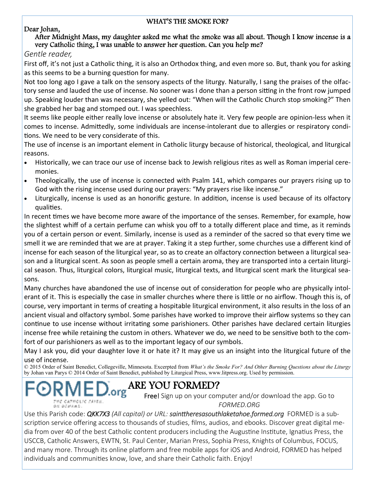### WHAT'S THE SMOKE FOR?

### Dear Johan,

### After Midnight Mass, my daughter asked me what the smoke was all about. Though I know incense is a very Catholic thing, I was unable to answer her question. Can you help me?

*Gentle reader,* 

First off, it's not just a Catholic thing, it is also an Orthodox thing, and even more so. But, thank you for asking as this seems to be a burning question for many.

Not too long ago I gave a talk on the sensory aspects of the liturgy. Naturally, I sang the praises of the olfactory sense and lauded the use of incense. No sooner was I done than a person sitting in the front row jumped up. Speaking louder than was necessary, she yelled out: "When will the Catholic Church stop smoking?" Then she grabbed her bag and stomped out. I was speechless.

It seems like people either really love incense or absolutely hate it. Very few people are opinion-less when it comes to incense. AdmiƩedly, some individuals are incense-intolerant due to allergies or respiratory conditions. We need to be very considerate of this.

The use of incense is an important element in Catholic liturgy because of historical, theological, and liturgical reasons.

- Historically, we can trace our use of incense back to Jewish religious rites as well as Roman imperial ceremonies.
- Theologically, the use of incense is connected with Psalm 141, which compares our prayers rising up to God with the rising incense used during our prayers: "My prayers rise like incense."
- Liturgically, incense is used as an honorific gesture. In addition, incense is used because of its olfactory qualities.

In recent times we have become more aware of the importance of the senses. Remember, for example, how the slightest whiff of a certain perfume can whisk you off to a totally different place and time, as it reminds you of a certain person or event. Similarly, incense is used as a reminder of the sacred so that every time we smell it we are reminded that we are at prayer. Taking it a step further, some churches use a different kind of incense for each season of the liturgical year, so as to create an olfactory connection between a liturgical season and a liturgical scent. As soon as people smell a certain aroma, they are transported into a certain liturgical season. Thus, liturgical colors, liturgical music, liturgical texts, and liturgical scent mark the liturgical seasons.

Many churches have abandoned the use of incense out of consideration for people who are physically intolerant of it. This is especially the case in smaller churches where there is little or no airflow. Though this is, of course, very important in terms of creating a hospitable liturgical environment, it also results in the loss of an ancient visual and olfactory symbol. Some parishes have worked to improve their airflow systems so they can continue to use incense without irritating some parishioners. Other parishes have declared certain liturgies incense free while retaining the custom in others. Whatever we do, we need to be sensitive both to the comfort of our parishioners as well as to the important legacy of our symbols.

May I ask you, did your daughter love it or hate it? It may give us an insight into the liturgical future of the use of incense.

© 2015 Order of Saint Benedict, Collegeville, Minnesota. Excerpted from *What's the Smoke For? And Other Burning Questions about the Liturgy* by Johan van Parys © 2014 Order of Saint Benedict, published by Liturgical Press, www.litpress.org. Used by permission.

# ARE YOU FORMED?

WE CATHOLIC FAITH. ON DEMANS.

Free! Sign up on your computer and/or download the app. Go to *FORMED.ORG* 

Use this Parish code: *QKK7X3 (All capital) or URL: sainttheresasouthlaketahoe.formed.org* FORMED is a subscription service offering access to thousands of studies, films, audios, and ebooks. Discover great digital media from over 40 of the best Catholic content producers including the Augustine Institute, Ignatius Press, the USCCB, Catholic Answers, EWTN, St. Paul Center, Marian Press, Sophia Press, Knights of Columbus, FOCUS, and many more. Through its online platform and free mobile apps for iOS and Android, FORMED has helped individuals and communities know, love, and share their Catholic faith. Enjoy!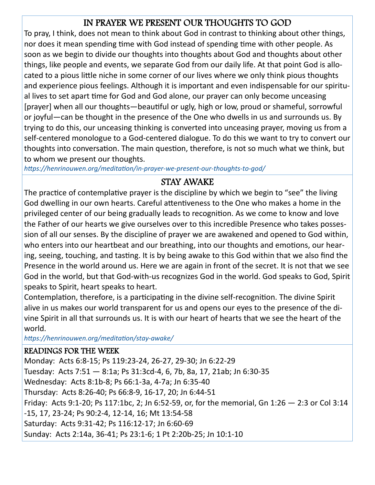# IN PRAYER WE PRESENT OUR THOUGHTS TO GOD

To pray, I think, does not mean to think about God in contrast to thinking about other things, nor does it mean spending time with God instead of spending time with other people. As soon as we begin to divide our thoughts into thoughts about God and thoughts about other things, like people and events, we separate God from our daily life. At that point God is allocated to a pious little niche in some corner of our lives where we only think pious thoughts and experience pious feelings. Although it is important and even indispensable for our spiritual lives to set apart time for God and God alone, our prayer can only become unceasing [prayer] when all our thoughts—beautiful or ugly, high or low, proud or shameful, sorrowful or joyful—can be thought in the presence of the One who dwells in us and surrounds us. By trying to do this, our unceasing thinking is converted into unceasing prayer, moving us from a self-centered monologue to a God-centered dialogue. To do this we want to try to convert our thoughts into conversation. The main question, therefore, is not so much what we think, but to whom we present our thoughts.

*hƩps://henrinouwen.org/meditaƟon/in‐prayer‐we‐present‐our‐thoughts‐to‐god/* 

## STAY AWAKE

The practice of contemplative prayer is the discipline by which we begin to "see" the living God dwelling in our own hearts. Careful attentiveness to the One who makes a home in the privileged center of our being gradually leads to recognition. As we come to know and love the Father of our hearts we give ourselves over to this incredible Presence who takes possession of all our senses. By the discipline of prayer we are awakened and opened to God within, who enters into our heartbeat and our breathing, into our thoughts and emotions, our hearing, seeing, touching, and tasting. It is by being awake to this God within that we also find the Presence in the world around us. Here we are again in front of the secret. It is not that we see God in the world, but that God-with-us recognizes God in the world. God speaks to God, Spirit speaks to Spirit, heart speaks to heart.

Contemplation, therefore, is a participating in the divine self-recognition. The divine Spirit alive in us makes our world transparent for us and opens our eyes to the presence of the divine Spirit in all that surrounds us. It is with our heart of hearts that we see the heart of the world.

*hƩps://henrinouwen.org/meditaƟon/stay‐awake/* 

## READINGS FOR THE WEEK

Monday: Acts 6:8-15; Ps 119:23-24, 26-27, 29-30; Jn 6:22-29 Tuesday: Acts 7:51 — 8:1a; Ps 31:3cd-4, 6, 7b, 8a, 17, 21ab; Jn 6:30-35 Wednesday: Acts 8:1b-8; Ps 66:1-3a, 4-7a; Jn 6:35-40 Thursday: Acts 8:26-40; Ps 66:8-9, 16-17, 20; Jn 6:44-51 Friday: Acts 9:1-20; Ps 117:1bc, 2; Jn 6:52-59, or, for the memorial, Gn 1:26 — 2:3 or Col 3:14 -15, 17, 23-24; Ps 90:2-4, 12-14, 16; Mt 13:54-58 Saturday: Acts 9:31-42; Ps 116:12-17; Jn 6:60-69 Sunday: Acts 2:14a, 36-41; Ps 23:1-6; 1 Pt 2:20b-25; Jn 10:1-10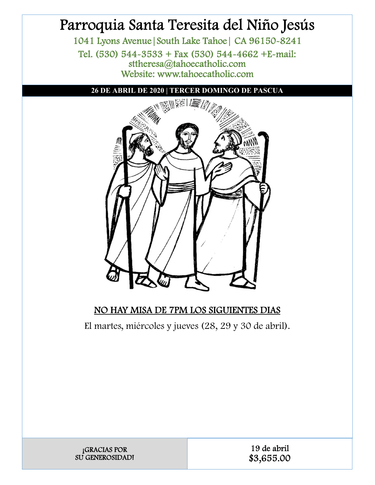# Parroquia Santa Teresita del Niño Jesús

1041 Lyons Avenue|South Lake Tahoe| CA 96150-8241 Tel. (530) 544-3533 + Fax (530) 544-4662 +E-mail: sttheresa@tahoecatholic.com Website: www.tahoecatholic.com

**26 DE ABRIL DE 2020 | TERCER DOMINGO DE PASCUA** 



## NO HAY MISA DE 7PM LOS SIGUIENTES DIAS

El martes, miércoles y jueves (28, 29 y 30 de abril).

| <b>GRACIAS POR</b>     |
|------------------------|
| <b>SU GENEROSIDADI</b> |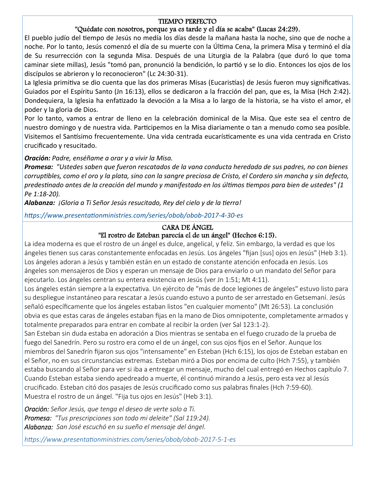### TIEMPO PERFECTO

### "Quédate con nosotros, porque ya es tarde y el día se acaba" (Lucas 24:29).

El pueblo judío del tiempo de Jesús no medía los días desde la mañana hasta la noche, sino que de noche a noche. Por lo tanto, Jesús comenzó el día de su muerte con la Última Cena, la primera Misa y terminó el día de Su resurrección con la segunda Misa. Después de una Liturgia de la Palabra (que duró lo que toma caminar siete millas), Jesús "tomó pan, pronunció la bendición, lo partió y se lo dio. Entonces los ojos de los discípulos se abrieron y lo reconocieron" (Lc 24:30-31).

La Iglesia primitiva se dio cuenta que las dos primeras Misas (Eucaristías) de Jesús fueron muy significativas. Guiados por el Espíritu Santo (Jn 16:13), ellos se dedicaron a la fracción del pan, que es, la Misa (Hch 2:42). Dondequiera, la Iglesia ha enfatizado la devoción a la Misa a lo largo de la historia, se ha visto el amor, el poder y la gloria de Dios.

Por lo tanto, vamos a entrar de lleno en la celebración dominical de la Misa. Que este sea el centro de nuestro domingo y de nuestra vida. Participemos en la Misa diariamente o tan a menudo como sea posible. Visitemos el Santísimo frecuentemente. Una vida centrada eucarísticamente es una vida centrada en Cristo crucificado y resucitado.

### *Oración: Padre, enséñame a orar y a vivir la Misa.*

*Promesa: "Ustedes saben que fueron rescatados de la vana conducta heredada de sus padres, no con bienes corrupƟbles, como el oro y la plata, sino con la sangre preciosa de Cristo, el Cordero sin mancha y sin defecto, predesƟnado antes de la creación del mundo y manifestado en los úlƟmos Ɵempos para bien de ustedes" (1 Pe 1:18‐20).* 

*Alabanza: ¡Gloria a Ti Señor Jesús resucitado, Rey del cielo y de la Ɵerra!* 

*hƩps://www.presentaƟonministries.com/series/obob/obob‐2017‐4‐30‐es* 

### CARA DE ÁNGEL

### "El rostro de Esteban parecía el de un ángel" (Hechos 6:15).

La idea moderna es que el rostro de un ángel es dulce, angelical, y feliz. Sin embargo, la verdad es que los ángeles tienen sus caras constantemente enfocadas en Jesús. Los ángeles "fijan [sus] ojos en Jesús" (Heb 3:1). Los ángeles adoran a Jesús y también están en un estado de constante atención enfocada en Jesús. Los ángeles son mensajeros de Dios y esperan un mensaje de Dios para enviarlo o un mandato del Señor para ejecutarlo. Los ángeles centran su entera existencia en Jesús (ver Jn 1:51; Mt 4:11).

Los ángeles están siempre a la expectativa. Un ejército de "más de doce legiones de ángeles" estuvo listo para su despliegue instantáneo para rescatar a Jesús cuando estuvo a punto de ser arrestado en Getsemaní. Jesús señaló específicamente que los ángeles estaban listos "en cualquier momento" (Mt 26:53). La conclusión obvia es que estas caras de ángeles estaban fijas en la mano de Dios omnipotente, completamente armados y totalmente preparados para entrar en combate al recibir la orden (ver Sal 123:1-2).

San Esteban sin duda estaba en adoración a Dios mientras se sentaba en el fuego cruzado de la prueba de fuego del Sanedrín. Pero su rostro era como el de un ángel, con sus ojos fijos en el Señor. Aunque los miembros del Sanedrín fijaron sus ojos "intensamente" en Esteban (Hch 6:15), los ojos de Esteban estaban en el Señor, no en sus circunstancias extremas. Esteban miró a Dios por encima de culto (Hch 7:55), y también estaba buscando al Señor para ver si iba a entregar un mensaje, mucho del cual entregó en Hechos capítulo 7. Cuando Esteban estaba siendo apedreado a muerte, él conƟnuó mirando a Jesús, pero esta vez al Jesús crucificado. Esteban citó dos pasajes de Jesús crucificado como sus palabras finales (Hch 7:59-60). Muestra el rostro de un ángel. "Fija tus ojos en Jesús" (Heb 3:1).

*Oración: Señor Jesús, que tenga el deseo de verte solo a Ti. Promesa: "Tus prescripciones son todo mi deleite" (Sal 119:24). Alabanza: San José escuchó en su sueño el mensaje del ángel.* 

*hƩps://www.presentaƟonministries.com/series/obob/obob‐2017‐5‐1‐es*